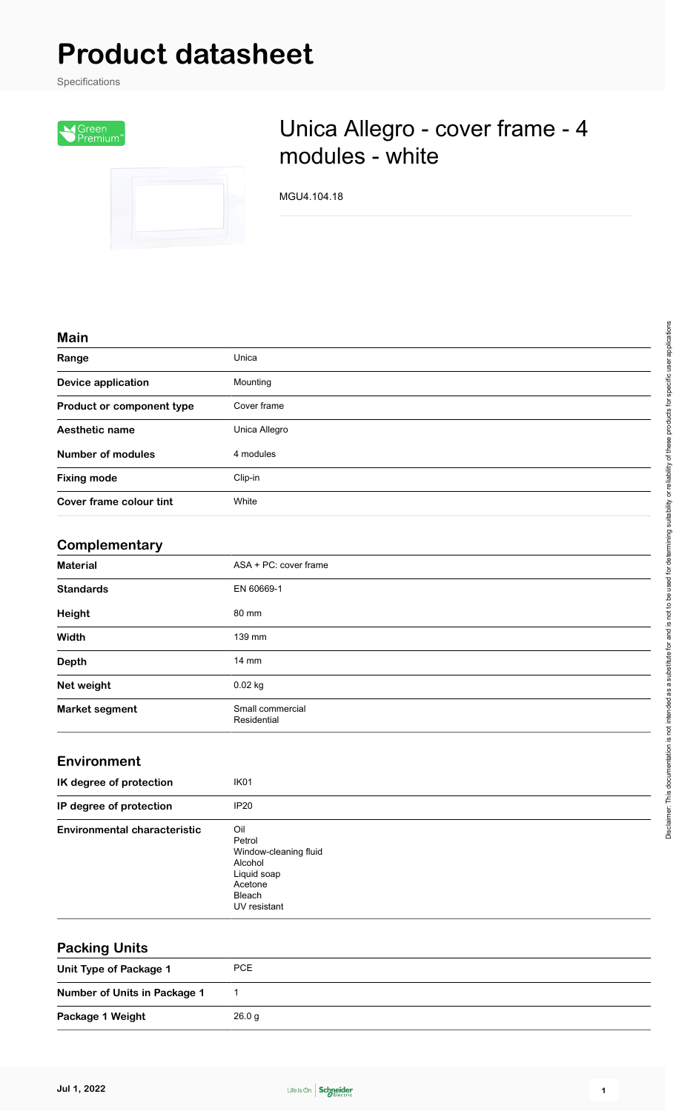# **Product datasheet**

Specifications



## Unica Allegro - cover frame - 4 modules - white

MGU4.104.18

#### **Main**

| Range                     | Unica         |
|---------------------------|---------------|
| <b>Device application</b> | Mounting      |
| Product or component type | Cover frame   |
| Aesthetic name            | Unica Allegro |
| <b>Number of modules</b>  | 4 modules     |
| <b>Fixing mode</b>        | Clip-in       |
| Cover frame colour tint   | White         |

#### **Complementary**

| <b>Material</b>       | ASA + PC: cover frame           |  |
|-----------------------|---------------------------------|--|
| <b>Standards</b>      | EN 60669-1                      |  |
| Height                | 80 mm                           |  |
| Width                 | 139 mm                          |  |
| <b>Depth</b>          | $14 \text{ mm}$                 |  |
| Net weight            | $0.02$ kg                       |  |
| <b>Market segment</b> | Small commercial<br>Residential |  |

#### **Environment**

| IK degree of protection             | IK <sub>01</sub>                                                                                      |
|-------------------------------------|-------------------------------------------------------------------------------------------------------|
| IP degree of protection             | <b>IP20</b>                                                                                           |
| <b>Environmental characteristic</b> | Oil<br>Petrol<br>Window-cleaning fluid<br>Alcohol<br>Liquid soap<br>Acetone<br>Bleach<br>UV resistant |

| <b>Packing Units</b>         |        |
|------------------------------|--------|
| Unit Type of Package 1       | PCE    |
| Number of Units in Package 1 |        |
| Package 1 Weight             | 26.0 g |